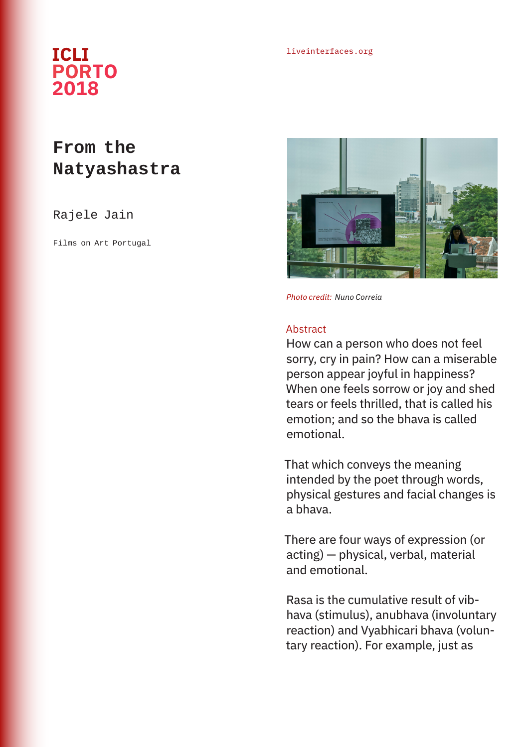## liveinterfaces.org **ICLI PORTO 2018**

## **From the Natyashastra**

## Rajele Jain

Films on Art Portugal



*Photo credit: Nuno Correia*

## Abstract

How can a person who does not feel sorry, cry in pain? How can a miserable person appear joyful in happiness? When one feels sorrow or joy and shed tears or feels thrilled, that is called his emotion; and so the bhava is called emotional.

That which conveys the meaning intended by the poet through words, physical gestures and facial changes is a bhava.

There are four ways of expression (or acting) — physical, verbal, material and emotional.

Rasa is the cumulative result of vibhava (stimulus), anubhava (involuntary reaction) and Vyabhicari bhava (voluntary reaction). For example, just as